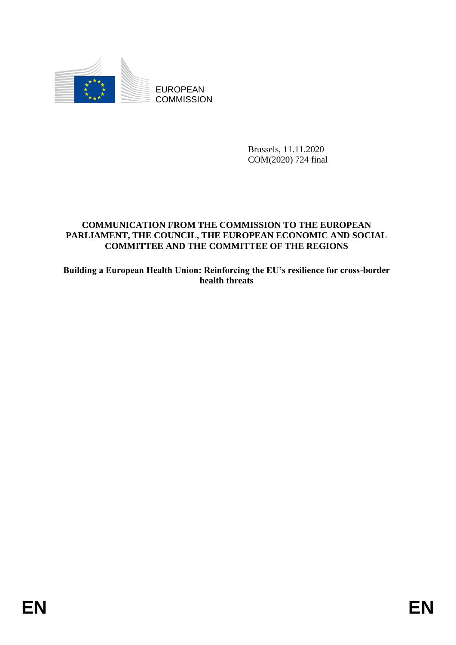

EUROPEAN **COMMISSION** 

> Brussels, 11.11.2020 COM(2020) 724 final

## **COMMUNICATION FROM THE COMMISSION TO THE EUROPEAN PARLIAMENT, THE COUNCIL, THE EUROPEAN ECONOMIC AND SOCIAL COMMITTEE AND THE COMMITTEE OF THE REGIONS**

**Building a European Health Union: Reinforcing the EU's resilience for cross-border health threats**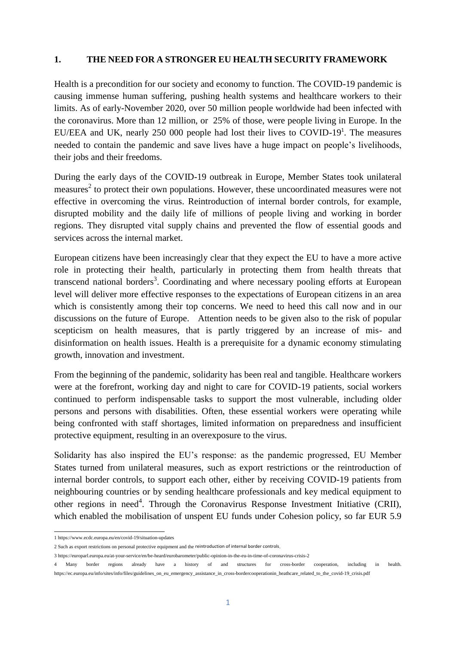#### **1. THE NEED FOR A STRONGER EU HEALTH SECURITY FRAMEWORK**

Health is a precondition for our society and economy to function. The COVID-19 pandemic is causing immense human suffering, pushing health systems and healthcare workers to their limits. As of early-November 2020, over 50 million people worldwide had been infected with the coronavirus. More than 12 million, or 25% of those, were people living in Europe. In the EU/EEA and UK, nearly  $250\ 000$  people had lost their lives to COVID-19<sup>1</sup>. The measures needed to contain the pandemic and save lives have a huge impact on people's livelihoods, their jobs and their freedoms.

During the early days of the COVID-19 outbreak in Europe, Member States took unilateral measures<sup>2</sup> to protect their own populations. However, these uncoordinated measures were not effective in overcoming the virus. Reintroduction of internal border controls, for example, disrupted mobility and the daily life of millions of people living and working in border regions. They disrupted vital supply chains and prevented the flow of essential goods and services across the internal market.

European citizens have been increasingly clear that they expect the EU to have a more active role in protecting their health, particularly in protecting them from health threats that transcend national borders<sup>3</sup>. Coordinating and where necessary pooling efforts at European level will deliver more effective responses to the expectations of European citizens in an area which is consistently among their top concerns. We need to heed this call now and in our discussions on the future of Europe. Attention needs to be given also to the risk of popular scepticism on health measures, that is partly triggered by an increase of mis- and disinformation on health issues. Health is a prerequisite for a dynamic economy stimulating growth, innovation and investment.

From the beginning of the pandemic, solidarity has been real and tangible. Healthcare workers were at the forefront, working day and night to care for COVID-19 patients, social workers continued to perform indispensable tasks to support the most vulnerable, including older persons and persons with disabilities. Often, these essential workers were operating while being confronted with staff shortages, limited information on preparedness and insufficient protective equipment, resulting in an overexposure to the virus.

Solidarity has also inspired the EU's response: as the pandemic progressed, EU Member States turned from unilateral measures, such as export restrictions or the reintroduction of internal border controls, to support each other, either by receiving COVID-19 patients from neighbouring countries or by sending healthcare professionals and key medical equipment to other regions in need<sup>4</sup>. Through the Coronavirus Response Investment Initiative (CRII), which enabled the mobilisation of unspent EU funds under Cohesion policy, so far EUR 5.9

 1 <https://www.ecdc.europa.eu/en/covid-19/situation-updates>

<sup>2</sup> Such as export restrictions on personal protective equipment and the reintroduction of internal border controls.

<sup>3</sup> https://europarl.europa.eu/at-your-service/en/be-heard/eurobarometer/public-opinion-in-the-eu-in-time-of-coronavirus-crisis-2

<sup>4</sup> Many border regions already have a history of and structures for cross-border cooperation, including in health. https://ec.europa.eu/info/sites/info/files/guidelines\_on\_eu\_emergency\_assistance\_in\_cross-bordercooperationin\_heathcare\_related\_to\_the\_covid-19\_crisis.pdf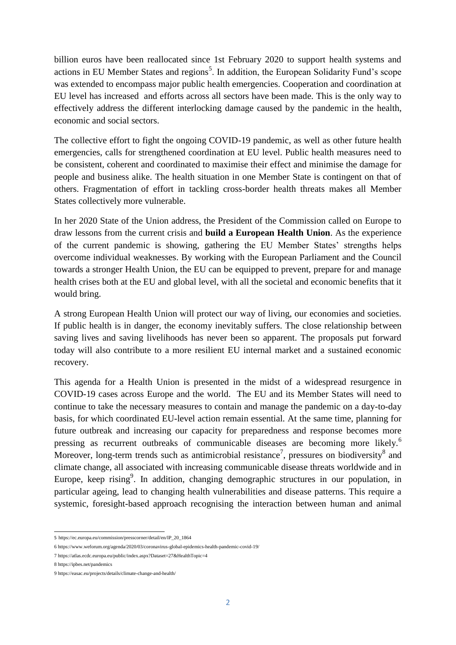billion euros have been reallocated since 1st February 2020 to support health systems and actions in EU Member States and regions<sup>5</sup>. In addition, the European Solidarity Fund's scope was extended to encompass major public health emergencies. Cooperation and coordination at EU level has increased and efforts across all sectors have been made. This is the only way to effectively address the different interlocking damage caused by the pandemic in the health, economic and social sectors.

The collective effort to fight the ongoing COVID-19 pandemic, as well as other future health emergencies, calls for strengthened coordination at EU level. Public health measures need to be consistent, coherent and coordinated to maximise their effect and minimise the damage for people and business alike. The health situation in one Member State is contingent on that of others. Fragmentation of effort in tackling cross-border health threats makes all Member States collectively more vulnerable.

In her 2020 State of the Union address, the President of the Commission called on Europe to draw lessons from the current crisis and **build a European Health Union**. As the experience of the current pandemic is showing, gathering the EU Member States' strengths helps overcome individual weaknesses. By working with the European Parliament and the Council towards a stronger Health Union, the EU can be equipped to prevent, prepare for and manage health crises both at the EU and global level, with all the societal and economic benefits that it would bring.

A strong European Health Union will protect our way of living, our economies and societies. If public health is in danger, the economy inevitably suffers. The close relationship between saving lives and saving livelihoods has never been so apparent. The proposals put forward today will also contribute to a more resilient EU internal market and a sustained economic recovery.

This agenda for a Health Union is presented in the midst of a widespread resurgence in COVID-19 cases across Europe and the world. The EU and its Member States will need to continue to take the necessary measures to contain and manage the pandemic on a day-to-day basis, for which coordinated EU-level action remain essential. At the same time, planning for future outbreak and increasing our capacity for preparedness and response becomes more pressing as recurrent outbreaks of communicable diseases are becoming more likely.<sup>6</sup> Moreover, long-term trends such as antimicrobial resistance<sup>7</sup>, pressures on biodiversity<sup>8</sup> and climate change, all associated with increasing communicable disease threats worldwide and in Europe, keep rising<sup>9</sup>. In addition, changing demographic structures in our population, in particular ageing, lead to changing health vulnerabilities and disease patterns. This require a systemic, foresight-based approach recognising the interaction between human and animal

 5 https://ec.europa.eu/commission/presscorner/detail/en/IP\_20\_1864

<sup>6</sup> <https://www.weforum.org/agenda/2020/03/coronavirus-global-epidemics-health-pandemic-covid-19/>

<sup>7</sup> https://atlas.ecdc.europa.eu/public/index.aspx?Dataset=27&HealthTopic=4

<sup>8</sup> [https://ipbes.net/pandemics](https://urldefense.com/v3/__https:/ipbes.net/pandemics__;!!DOxrgLBm!VShqTB0g9ju7xNNWYDv2D4tCtl4rju_Ktthz7cUQwUdW665_2Vc8rMZbXKODegb9KO6OpCo$)

<sup>9</sup> https://easac.eu/projects/details/climate-change-and-health/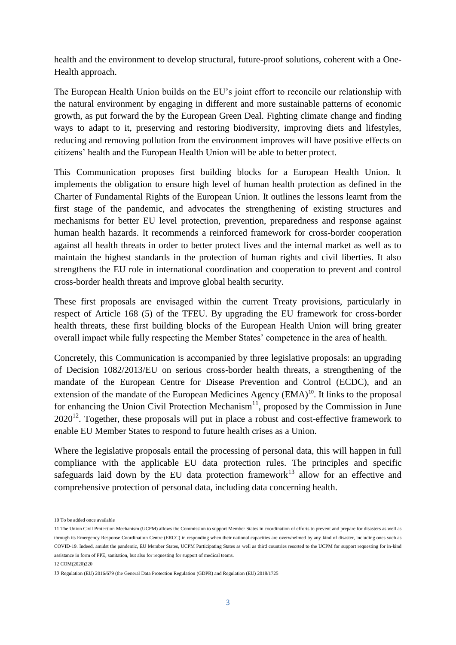health and the environment to develop structural, future-proof solutions, coherent with a One-Health approach.

The European Health Union builds on the EU's joint effort to reconcile our relationship with the natural environment by engaging in different and more sustainable patterns of economic growth, as put forward the by the European Green Deal. Fighting climate change and finding ways to adapt to it, preserving and restoring biodiversity, improving diets and lifestyles, reducing and removing pollution from the environment improves will have positive effects on citizens' health and the European Health Union will be able to better protect.

This Communication proposes first building blocks for a European Health Union. It implements the obligation to ensure high level of human health protection as defined in the Charter of Fundamental Rights of the European Union. It outlines the lessons learnt from the first stage of the pandemic, and advocates the strengthening of existing structures and mechanisms for better EU level protection, prevention, preparedness and response against human health hazards. It recommends a reinforced framework for cross-border cooperation against all health threats in order to better protect lives and the internal market as well as to maintain the highest standards in the protection of human rights and civil liberties. It also strengthens the EU role in international coordination and cooperation to prevent and control cross-border health threats and improve global health security.

These first proposals are envisaged within the current Treaty provisions, particularly in respect of Article 168 (5) of the TFEU. By upgrading the EU framework for cross-border health threats, these first building blocks of the European Health Union will bring greater overall impact while fully respecting the Member States' competence in the area of health.

Concretely, this Communication is accompanied by three legislative proposals: an upgrading of Decision 1082/2013/EU on serious cross-border health threats, a strengthening of the mandate of the European Centre for Disease Prevention and Control (ECDC), and an extension of the mandate of the European Medicines Agency  $(EMA)^{10}$ . It links to the proposal for enhancing the Union Civil Protection Mechanism<sup>11</sup>, proposed by the Commission in June  $2020^{12}$ . Together, these proposals will put in place a robust and cost-effective framework to enable EU Member States to respond to future health crises as a Union.

Where the legislative proposals entail the processing of personal data, this will happen in full compliance with the applicable EU data protection rules. The principles and specific safeguards laid down by the EU data protection framework $13$  allow for an effective and comprehensive protection of personal data, including data concerning health.

 10 To be added once available

<sup>11</sup> The Union Civil Protection Mechanism (UCPM) allows the Commission to support Member States in coordination of efforts to prevent and prepare for disasters as well as through its Emergency Response Coordination Centre (ERCC) in responding when their national capacities are overwhelmed by any kind of disaster, including ones such as COVID-19. Indeed, amidst the pandemic, EU Member States, UCPM Participating States as well as third countries resorted to the UCPM for support requesting for in-kind assistance in form of PPE, sanitation, but also for requesting for support of medical teams.

<sup>12</sup> COM(2020)220

<sup>13</sup> Regulation (EU) 2016/679 (the General Data Protection Regulation (GDPR) and Regulation (EU) 2018/1725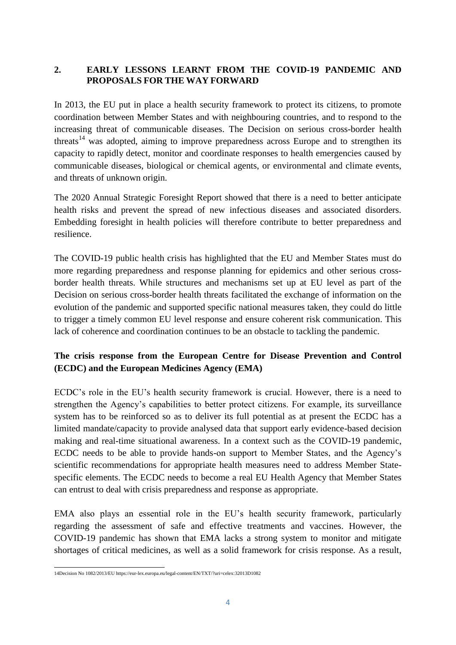# **2. EARLY LESSONS LEARNT FROM THE COVID-19 PANDEMIC AND PROPOSALS FOR THE WAY FORWARD**

In 2013, the EU put in place a health security framework to protect its citizens, to promote coordination between Member States and with neighbouring countries, and to respond to the increasing threat of communicable diseases. The Decision on serious cross-border health threats<sup>14</sup> was adopted, aiming to improve preparedness across Europe and to strengthen its capacity to rapidly detect, monitor and coordinate responses to health emergencies caused by communicable diseases, biological or chemical agents, or environmental and climate events, and threats of unknown origin.

The 2020 Annual Strategic Foresight Report showed that there is a need to better anticipate health risks and prevent the spread of new infectious diseases and associated disorders. Embedding foresight in health policies will therefore contribute to better preparedness and resilience.

The COVID-19 public health crisis has highlighted that the EU and Member States must do more regarding preparedness and response planning for epidemics and other serious crossborder health threats. While structures and mechanisms set up at EU level as part of the Decision on serious cross-border health threats facilitated the exchange of information on the evolution of the pandemic and supported specific national measures taken, they could do little to trigger a timely common EU level response and ensure coherent risk communication. This lack of coherence and coordination continues to be an obstacle to tackling the pandemic.

# **The crisis response from the European Centre for Disease Prevention and Control (ECDC) and the European Medicines Agency (EMA)**

ECDC's role in the EU's health security framework is crucial. However, there is a need to strengthen the Agency's capabilities to better protect citizens. For example, its surveillance system has to be reinforced so as to deliver its full potential as at present the ECDC has a limited mandate/capacity to provide analysed data that support early evidence-based decision making and real-time situational awareness. In a context such as the COVID-19 pandemic, ECDC needs to be able to provide hands-on support to Member States, and the Agency's scientific recommendations for appropriate health measures need to address Member Statespecific elements. The ECDC needs to become a real EU Health Agency that Member States can entrust to deal with crisis preparedness and response as appropriate.

EMA also plays an essential role in the EU's health security framework, particularly regarding the assessment of safe and effective treatments and vaccines. However, the COVID-19 pandemic has shown that EMA lacks a strong system to monitor and mitigate shortages of critical medicines, as well as a solid framework for crisis response. As a result,

 14Decision No 1082/2013/EU https://eur-lex.europa.eu/legal-content/EN/TXT/?uri=celex:32013D1082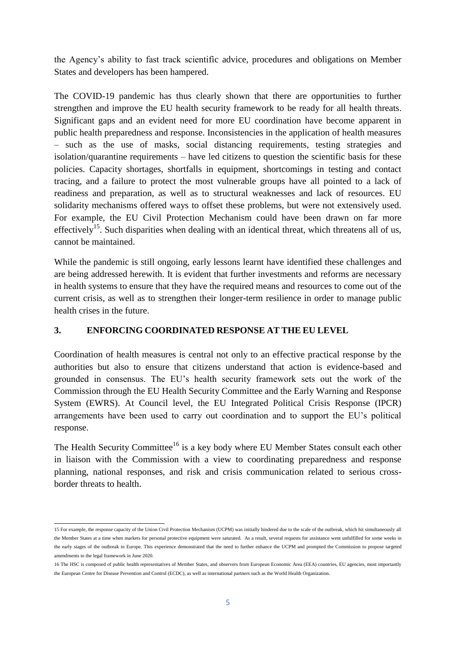the Agency's ability to fast track scientific advice, procedures and obligations on Member States and developers has been hampered.

The COVID-19 pandemic has thus clearly shown that there are opportunities to further strengthen and improve the EU health security framework to be ready for all health threats. Significant gaps and an evident need for more EU coordination have become apparent in public health preparedness and response. Inconsistencies in the application of health measures – such as the use of masks, social distancing requirements, testing strategies and isolation/quarantine requirements – have led citizens to question the scientific basis for these policies. Capacity shortages, shortfalls in equipment, shortcomings in testing and contact tracing, and a failure to protect the most vulnerable groups have all pointed to a lack of readiness and preparation, as well as to structural weaknesses and lack of resources. EU solidarity mechanisms offered ways to offset these problems, but were not extensively used. For example, the EU Civil Protection Mechanism could have been drawn on far more effectively<sup>15</sup>. Such disparities when dealing with an identical threat, which threatens all of us, cannot be maintained.

While the pandemic is still ongoing, early lessons learnt have identified these challenges and are being addressed herewith. It is evident that further investments and reforms are necessary in health systems to ensure that they have the required means and resources to come out of the current crisis, as well as to strengthen their longer-term resilience in order to manage public health crises in the future.

### **3. ENFORCING COORDINATED RESPONSE AT THE EU LEVEL**

Coordination of health measures is central not only to an effective practical response by the authorities but also to ensure that citizens understand that action is evidence-based and grounded in consensus. The EU's health security framework sets out the work of the Commission through the EU Health Security Committee and the Early Warning and Response System (EWRS). At Council level, the EU Integrated Political Crisis Response (IPCR) arrangements have been used to carry out coordination and to support the EU's political response.

The Health Security Committee<sup>16</sup> is a key body where EU Member States consult each other in liaison with the Commission with a view to coordinating preparedness and response planning, national responses, and risk and crisis communication related to serious crossborder threats to health.

 15 For example, the response capacity of the Union Civil Protection Mechanism (UCPM) was initially hindered due to the scale of the outbreak, which hit simultaneously all the Member States at a time when markets for personal protective equipment were saturated. As a result, several requests for assistance went unfulfilled for some weeks in the early stages of the outbreak in Europe. This experience demonstrated that the need to further enhance the UCPM and prompted the Commission to propose targeted amendments to the legal framework in June 2020.

<sup>16</sup> The HSC is composed of public health representatives of Member States, and observers from European Economic Area (EEA) countries, EU agencies, most importantly the European Centre for Disease Prevention and Control (ECDC), as well as international partners such as the World Health Organization.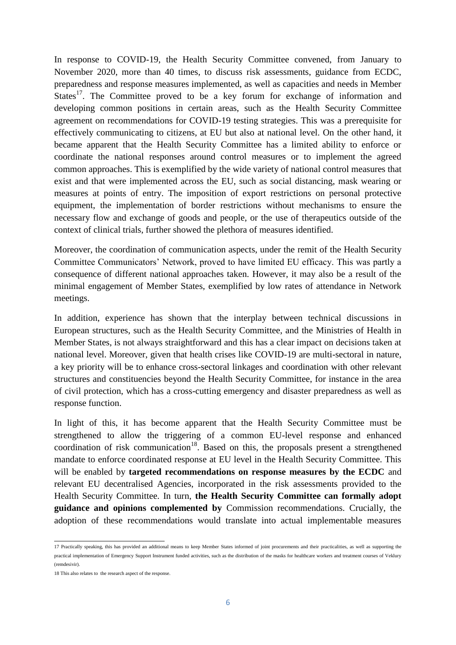In response to COVID-19, the Health Security Committee convened, from January to November 2020, more than 40 times, to discuss risk assessments, guidance from ECDC, preparedness and response measures implemented, as well as capacities and needs in Member States<sup>17</sup>. The Committee proved to be a key forum for exchange of information and developing common positions in certain areas, such as the Health Security Committee agreement on recommendations for COVID-19 testing strategies. This was a prerequisite for effectively communicating to citizens, at EU but also at national level. On the other hand, it became apparent that the Health Security Committee has a limited ability to enforce or coordinate the national responses around control measures or to implement the agreed common approaches. This is exemplified by the wide variety of national control measures that exist and that were implemented across the EU, such as social distancing, mask wearing or measures at points of entry. The imposition of export restrictions on personal protective equipment, the implementation of border restrictions without mechanisms to ensure the necessary flow and exchange of goods and people, or the use of therapeutics outside of the context of clinical trials, further showed the plethora of measures identified.

Moreover, the coordination of communication aspects, under the remit of the Health Security Committee Communicators' Network, proved to have limited EU efficacy. This was partly a consequence of different national approaches taken. However, it may also be a result of the minimal engagement of Member States, exemplified by low rates of attendance in Network meetings.

In addition, experience has shown that the interplay between technical discussions in European structures, such as the Health Security Committee, and the Ministries of Health in Member States, is not always straightforward and this has a clear impact on decisions taken at national level. Moreover, given that health crises like COVID-19 are multi-sectoral in nature, a key priority will be to enhance cross-sectoral linkages and coordination with other relevant structures and constituencies beyond the Health Security Committee, for instance in the area of civil protection, which has a cross-cutting emergency and disaster preparedness as well as response function.

In light of this, it has become apparent that the Health Security Committee must be strengthened to allow the triggering of a common EU-level response and enhanced coordination of risk communication<sup>18</sup>. Based on this, the proposals present a strengthened mandate to enforce coordinated response at EU level in the Health Security Committee. This will be enabled by **targeted recommendations on response measures by the ECDC** and relevant EU decentralised Agencies, incorporated in the risk assessments provided to the Health Security Committee. In turn, **the Health Security Committee can formally adopt guidance and opinions complemented by** Commission recommendations. Crucially, the adoption of these recommendations would translate into actual implementable measures

 17 Practically speaking, this has provided an additional means to keep Member States informed of joint procurements and their practicalities, as well as supporting the practical implementation of Emergency Support Instrument funded activities, such as the distribution of the masks for healthcare workers and treatment courses of Veklury (remdesivir).

<sup>18</sup> This also relates to the research aspect of the response.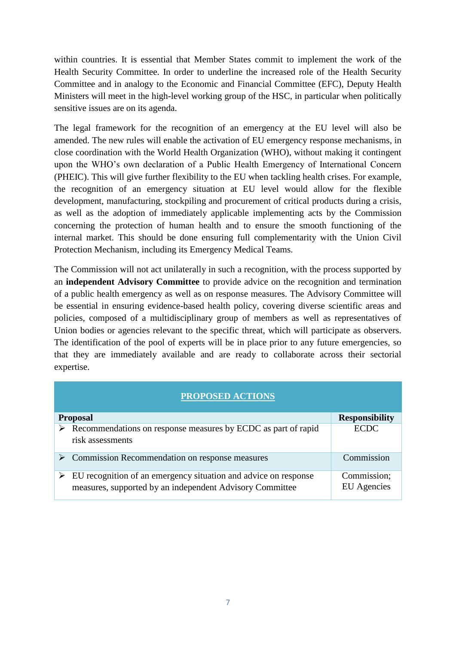within countries. It is essential that Member States commit to implement the work of the Health Security Committee. In order to underline the increased role of the Health Security Committee and in analogy to the Economic and Financial Committee (EFC), Deputy Health Ministers will meet in the high-level working group of the HSC, in particular when politically sensitive issues are on its agenda.

The legal framework for the recognition of an emergency at the EU level will also be amended. The new rules will enable the activation of EU emergency response mechanisms, in close coordination with the World Health Organization (WHO), without making it contingent upon the WHO's own declaration of a Public Health Emergency of International Concern (PHEIC). This will give further flexibility to the EU when tackling health crises. For example, the recognition of an emergency situation at EU level would allow for the flexible development, manufacturing, stockpiling and procurement of critical products during a crisis, as well as the adoption of immediately applicable implementing acts by the Commission concerning the protection of human health and to ensure the smooth functioning of the internal market. This should be done ensuring full complementarity with the Union Civil Protection Mechanism, including its Emergency Medical Teams.

The Commission will not act unilaterally in such a recognition, with the process supported by an **independent Advisory Committee** to provide advice on the recognition and termination of a public health emergency as well as on response measures. The Advisory Committee will be essential in ensuring evidence-based health policy, covering diverse scientific areas and policies, composed of a multidisciplinary group of members as well as representatives of Union bodies or agencies relevant to the specific threat, which will participate as observers. The identification of the pool of experts will be in place prior to any future emergencies, so that they are immediately available and are ready to collaborate across their sectorial expertise.

| PROPOSED ACTIONS |                                                                                                                             |                                   |
|------------------|-----------------------------------------------------------------------------------------------------------------------------|-----------------------------------|
|                  | <b>Proposal</b>                                                                                                             | <b>Responsibility</b>             |
|                  | Recommendations on response measures by ECDC as part of rapid<br>risk assessments                                           | <b>ECDC</b>                       |
|                  | Commission Recommendation on response measures                                                                              | Commission                        |
|                  | EU recognition of an emergency situation and advice on response<br>measures, supported by an independent Advisory Committee | Commission;<br><b>EU</b> Agencies |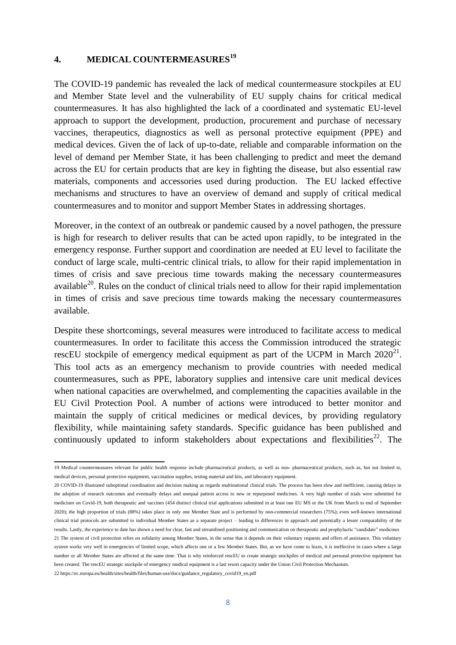#### **4. MEDICAL COUNTERMEASURES<sup>19</sup>**

The COVID-19 pandemic has revealed the lack of medical countermeasure stockpiles at EU and Member State level and the vulnerability of EU supply chains for critical medical countermeasures. It has also highlighted the lack of a coordinated and systematic EU-level approach to support the development, production, procurement and purchase of necessary vaccines, therapeutics, diagnostics as well as personal protective equipment (PPE) and medical devices. Given the of lack of up-to-date, reliable and comparable information on the level of demand per Member State, it has been challenging to predict and meet the demand across the EU for certain products that are key in fighting the disease, but also essential raw materials, components and accessories used during production. The EU lacked effective mechanisms and structures to have an overview of demand and supply of critical medical countermeasures and to monitor and support Member States in addressing shortages.

Moreover, in the context of an outbreak or pandemic caused by a novel pathogen, the pressure is high for research to deliver results that can be acted upon rapidly, to be integrated in the emergency response. Further support and coordination are needed at EU level to facilitate the conduct of large scale, multi-centric clinical trials, to allow for their rapid implementation in times of crisis and save precious time towards making the necessary countermeasures available<sup>20</sup>. Rules on the conduct of clinical trials need to allow for their rapid implementation in times of crisis and save precious time towards making the necessary countermeasures available.

Despite these shortcomings, several measures were introduced to facilitate access to medical countermeasures. In order to facilitate this access the Commission introduced the strategic rescEU stockpile of emergency medical equipment as part of the UCPM in March  $2020^{21}$ . This tool acts as an emergency mechanism to provide countries with needed medical countermeasures, such as PPE, laboratory supplies and intensive care unit medical devices when national capacities are overwhelmed, and complementing the capacities available in the EU Civil Protection Pool. A number of actions were introduced to better monitor and maintain the supply of critical medicines or medical devices, by providing regulatory flexibility, while maintaining safety standards. Specific guidance has been published and continuously updated to inform stakeholders about expectations and flexibilities<sup>22</sup>. The

 19 Medical countermeasures relevant for public health response include pharmaceutical products, as well as non- pharmaceutical products, such as, but not limited to, medical devices, personal protective equipment, vaccination supplies, testing material and kits, and laboratory equipment.

<sup>20</sup> COVID-19 illustrated suboptimal coordination and decision making as regards multinational clinical trials. The process has been slow and inefficient, causing delays in the adoption of research outcomes and eventually delays and unequal patient access to new or repurposed medicines. A very high number of trials were submitted for medicines on Covid-19, both therapeutic and vaccines (454 distinct clinical trial applications submitted in at least one EU MS or the UK from March to end of September 2020); the high proportion of trials (88%) takes place in only one Member State and is performed by non-commercial researchers (75%); even well-known international clinical trial protocols are submitted to individual Member States as a separate project – leading to differences in approach and potentially a lesser comparability of the results. Lastly, the experience to date has shown a need for clear, fast and streamlined positioning and communication on therapeutic and prophylactic "candidate" medicines 21 The system of civil protection relies on solidarity among Member States, in the sense that it depends on their voluntary requests and offers of assistance. This voluntary system works very well in emergencies of limited scope, which affects one or a few Member States. But, as we have come to learn, it is ineffective in cases where a large number or all Member States are affected at the same time. That is why reinforced rescEU to create strategic stockpiles of medical and personal protective equipment has been created. The rescEU strategic stockpile of emergency medical equipment is a last resort capacity under the Union Civil Protection Mechanism. 22 https://ec.europa.eu/health/sites/health/files/human-use/docs/guidance\_regulatory\_covid19\_en.pdf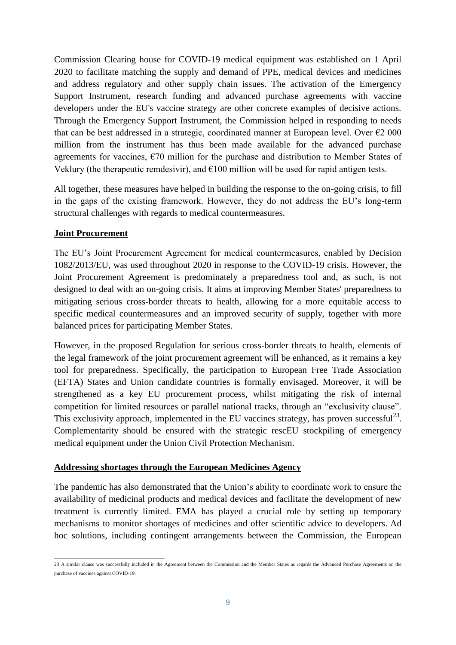Commission Clearing house for COVID-19 medical equipment was established on 1 April 2020 to facilitate matching the supply and demand of PPE, medical devices and medicines and address regulatory and other supply chain issues. The activation of the Emergency Support Instrument, research funding and advanced purchase agreements with vaccine developers under the EU's vaccine strategy are other concrete examples of decisive actions. Through the Emergency Support Instrument, the Commission helped in responding to needs that can be best addressed in a strategic, coordinated manner at European level. Over  $\epsilon$ 2 000 million from the instrument has thus been made available for the advanced purchase agreements for vaccines,  $\epsilon$ 70 million for the purchase and distribution to Member States of Veklury (the therapeutic remdesivir), and  $\epsilon$ 100 million will be used for rapid antigen tests.

All together, these measures have helped in building the response to the on-going crisis, to fill in the gaps of the existing framework. However, they do not address the EU's long-term structural challenges with regards to medical countermeasures.

### **Joint Procurement**

The EU's Joint Procurement Agreement for medical countermeasures, enabled by Decision 1082/2013/EU, was used throughout 2020 in response to the COVID-19 crisis. However, the Joint Procurement Agreement is predominately a preparedness tool and, as such, is not designed to deal with an on-going crisis. It aims at improving Member States' preparedness to mitigating serious cross-border threats to health, allowing for a more equitable access to specific medical countermeasures and an improved security of supply, together with more balanced prices for participating Member States.

However, in the proposed Regulation for serious cross-border threats to health, elements of the legal framework of the joint procurement agreement will be enhanced, as it remains a key tool for preparedness. Specifically, the participation to European Free Trade Association (EFTA) States and Union candidate countries is formally envisaged. Moreover, it will be strengthened as a key EU procurement process, whilst mitigating the risk of internal competition for limited resources or parallel national tracks, through an "exclusivity clause". This exclusivity approach, implemented in the EU vaccines strategy, has proven successful<sup>23</sup>. Complementarity should be ensured with the strategic rescEU stockpiling of emergency medical equipment under the Union Civil Protection Mechanism.

### **Addressing shortages through the European Medicines Agency**

The pandemic has also demonstrated that the Union's ability to coordinate work to ensure the availability of medicinal products and medical devices and facilitate the development of new treatment is currently limited. EMA has played a crucial role by setting up temporary mechanisms to monitor shortages of medicines and offer scientific advice to developers. Ad hoc solutions, including contingent arrangements between the Commission, the European

 23 A similar clause was successfully included in the Agreement between the Commission and the Member States as regards the Advanced Purchase Agreements on the purchase of vaccines against COVID-19.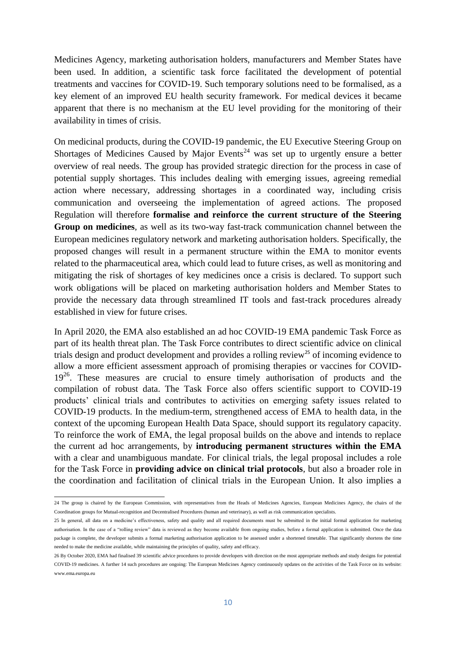Medicines Agency, marketing authorisation holders, manufacturers and Member States have been used. In addition, a scientific task force facilitated the development of potential treatments and vaccines for COVID-19. Such temporary solutions need to be formalised, as a key element of an improved EU health security framework. For medical devices it became apparent that there is no mechanism at the EU level providing for the monitoring of their availability in times of crisis.

On medicinal products, during the COVID-19 pandemic, the EU Executive Steering Group on Shortages of Medicines Caused by Major Events<sup>24</sup> was set up to urgently ensure a better overview of real needs. The group has provided strategic direction for the process in case of potential supply shortages. This includes dealing with emerging issues, agreeing remedial action where necessary, addressing shortages in a coordinated way, including crisis communication and overseeing the implementation of agreed actions. The proposed Regulation will therefore **formalise and reinforce the current structure of the Steering Group on medicines**, as well as its two-way fast-track communication channel between the European medicines regulatory network and marketing authorisation holders. Specifically, the proposed changes will result in a permanent structure within the EMA to monitor events related to the pharmaceutical area, which could lead to future crises, as well as monitoring and mitigating the risk of shortages of key medicines once a crisis is declared. To support such work obligations will be placed on marketing authorisation holders and Member States to provide the necessary data through streamlined IT tools and fast-track procedures already established in view for future crises.

In April 2020, the EMA also established an ad hoc COVID-19 EMA pandemic Task Force as part of its health threat plan. The Task Force contributes to direct scientific advice on clinical trials design and product development and provides a rolling review<sup>25</sup> of incoming evidence to allow a more efficient assessment approach of promising therapies or vaccines for COVID-19<sup>26</sup>. These measures are crucial to ensure timely authorisation of products and the compilation of robust data. The Task Force also offers scientific support to COVID-19 products' clinical trials and contributes to activities on emerging safety issues related to COVID-19 products. In the medium-term, strengthened access of EMA to health data, in the context of the upcoming European Health Data Space, should support its regulatory capacity. To reinforce the work of EMA, the legal proposal builds on the above and intends to replace the current ad hoc arrangements, by **introducing permanent structures within the EMA** with a clear and unambiguous mandate. For clinical trials, the legal proposal includes a role for the Task Force in **providing advice on clinical trial protocols**, but also a broader role in the coordination and facilitation of clinical trials in the European Union. It also implies a

 24 The group is chaired by the European Commission, with representatives from the Heads of Medicines Agencies, European Medicines Agency, the chairs of the Coordination groups for Mutual-recognition and Decentralised Procedures (human and veterinary), as well as risk communication specialists.

<sup>25</sup> In general, all data on a medicine's effectiveness, safety and quality and all required documents must be submitted in the initial formal application for marketing authorisation. In the case of a "rolling review" data is reviewed as they become available from ongoing studies, before a formal application is submitted. Once the data package is complete, the developer submits a formal marketing authorisation application to be assessed under a shortened timetable. That significantly shortens the time needed to make the medicine available, while maintaining the principles of quality, safety and efficacy.

<sup>26</sup> By October 2020, EMA had finalised 3[9 scientific advice](https://www.ema.europa.eu/en/glossary/scientific-advice) procedures to provide developers with direction on the most appropriate methods and study designs for potential COVID-19 medicines. A further 14 such procedures are ongoing: The European Medicines Agency continuously updates on the activities of the Task Force on its website: www.ema.europa.eu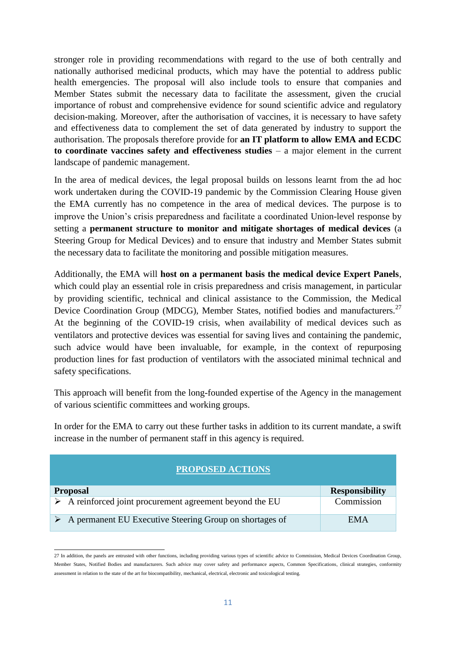stronger role in providing recommendations with regard to the use of both centrally and nationally authorised medicinal products, which may have the potential to address public health emergencies. The proposal will also include tools to ensure that companies and Member States submit the necessary data to facilitate the assessment, given the crucial importance of robust and comprehensive evidence for sound scientific advice and regulatory decision-making. Moreover, after the authorisation of vaccines, it is necessary to have safety and effectiveness data to complement the set of data generated by industry to support the authorisation. The proposals therefore provide for **an IT platform to allow EMA and ECDC to coordinate vaccines safety and effectiveness studies** – a major element in the current landscape of pandemic management.

In the area of medical devices, the legal proposal builds on lessons learnt from the ad hoc work undertaken during the COVID-19 pandemic by the Commission Clearing House given the EMA currently has no competence in the area of medical devices. The purpose is to improve the Union's crisis preparedness and facilitate a coordinated Union-level response by setting a **permanent structure to monitor and mitigate shortages of medical devices** (a Steering Group for Medical Devices) and to ensure that industry and Member States submit the necessary data to facilitate the monitoring and possible mitigation measures.

Additionally, the EMA will **host on a permanent basis the medical device Expert Panels**, which could play an essential role in crisis preparedness and crisis management, in particular by providing scientific, technical and clinical assistance to the Commission, the Medical Device Coordination Group (MDCG), Member States, notified bodies and manufacturers.<sup>27</sup> At the beginning of the COVID-19 crisis, when availability of medical devices such as ventilators and protective devices was essential for saving lives and containing the pandemic, such advice would have been invaluable, for example, in the context of repurposing production lines for fast production of ventilators with the associated minimal technical and safety specifications.

This approach will benefit from the long-founded expertise of the Agency in the management of various scientific committees and working groups.

In order for the EMA to carry out these further tasks in addition to its current mandate, a swift increase in the number of permanent staff in this agency is required.

| <b>PROPOSED ACTIONS</b>                                                  |                       |
|--------------------------------------------------------------------------|-----------------------|
| <b>Proposal</b>                                                          | <b>Responsibility</b> |
| $\triangleright$ A reinforced joint procurement agreement beyond the EU  | Commission            |
| $\triangleright$ A permanent EU Executive Steering Group on shortages of | <b>EMA</b>            |

 27 In addition, the panels are entrusted with other functions, including providing various types of scientific advice to Commission, Medical Devices Coordination Group, Member States, Notified Bodies and manufacturers. Such advice may cover safety and performance aspects, Common Specifications, clinical strategies, conformity assessment in relation to the state of the art for biocompatibility, mechanical, electrical, electronic and toxicological testing.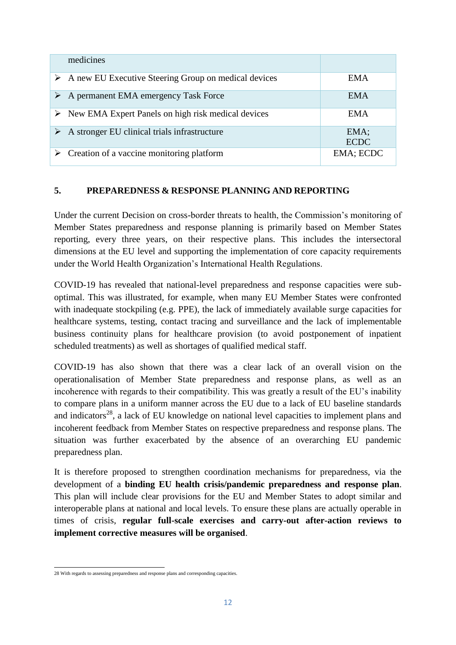| medicines                                            |                     |
|------------------------------------------------------|---------------------|
| A new EU Executive Steering Group on medical devices | <b>EMA</b>          |
| A permanent EMA emergency Task Force                 | <b>EMA</b>          |
| New EMA Expert Panels on high risk medical devices   | <b>EMA</b>          |
| A stronger EU clinical trials infrastructure         | EMA;<br><b>ECDC</b> |
| Creation of a vaccine monitoring platform            | EMA; ECDC           |

#### **5. PREPAREDNESS & RESPONSE PLANNING AND REPORTING**

Under the current Decision on cross-border threats to health, the Commission's monitoring of Member States preparedness and response planning is primarily based on Member States reporting, every three years, on their respective plans. This includes the intersectoral dimensions at the EU level and supporting the implementation of core capacity requirements under the World Health Organization's International Health Regulations.

COVID-19 has revealed that national-level preparedness and response capacities were suboptimal. This was illustrated, for example, when many EU Member States were confronted with inadequate stockpiling (e.g. PPE), the lack of immediately available surge capacities for healthcare systems, testing, contact tracing and surveillance and the lack of implementable business continuity plans for healthcare provision (to avoid postponement of inpatient scheduled treatments) as well as shortages of qualified medical staff.

COVID-19 has also shown that there was a clear lack of an overall vision on the operationalisation of Member State preparedness and response plans, as well as an incoherence with regards to their compatibility. This was greatly a result of the EU's inability to compare plans in a uniform manner across the EU due to a lack of EU baseline standards and indicators<sup>28</sup>, a lack of EU knowledge on national level capacities to implement plans and incoherent feedback from Member States on respective preparedness and response plans. The situation was further exacerbated by the absence of an overarching EU pandemic preparedness plan.

It is therefore proposed to strengthen coordination mechanisms for preparedness, via the development of a **binding EU health crisis/pandemic preparedness and response plan**. This plan will include clear provisions for the EU and Member States to adopt similar and interoperable plans at national and local levels. To ensure these plans are actually operable in times of crisis, **regular full-scale exercises and carry-out after-action reviews to implement corrective measures will be organised**.

 28 With regards to assessing preparedness and response plans and corresponding capacities.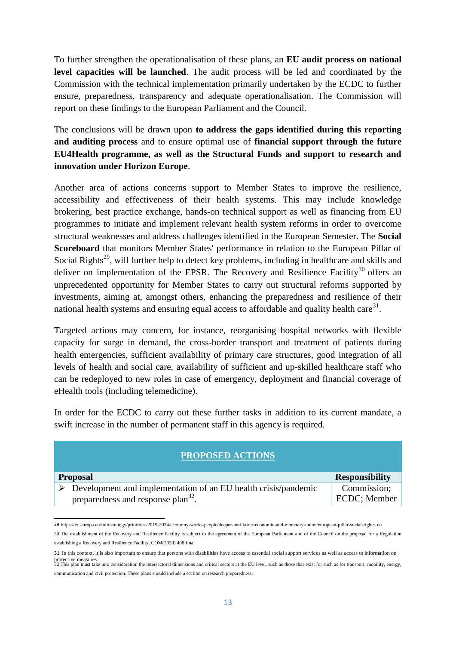To further strengthen the operationalisation of these plans, an **EU audit process on national level capacities will be launched**. The audit process will be led and coordinated by the Commission with the technical implementation primarily undertaken by the ECDC to further ensure, preparedness, transparency and adequate operationalisation. The Commission will report on these findings to the European Parliament and the Council.

The conclusions will be drawn upon **to address the gaps identified during this reporting and auditing process** and to ensure optimal use of **financial support through the future EU4Health programme, as well as the Structural Funds and support to research and innovation under Horizon Europe**.

Another area of actions concerns support to Member States to improve the resilience, accessibility and effectiveness of their health systems. This may include knowledge brokering, best practice exchange, hands-on technical support as well as financing from EU programmes to initiate and implement relevant health system reforms in order to overcome structural weaknesses and address challenges identified in the European Semester. The **Social Scoreboard** that monitors Member States' performance in relation to the [European Pillar of](https://ec.europa.eu/commission/priorities/deeper-and-fairer-economic-and-monetary-union/european-pillar-social-rights_en)  [Social Rights](https://ec.europa.eu/commission/priorities/deeper-and-fairer-economic-and-monetary-union/european-pillar-social-rights_en)<sup>29</sup>, will further help to detect key problems, including in healthcare and skills and deliver on implementation of the EPSR. The Recovery and Resilience Facility<sup>30</sup> offers an unprecedented opportunity for Member States to carry out structural reforms supported by investments, aiming at, amongst others, enhancing the preparedness and resilience of their national health systems and ensuring equal access to affordable and quality health care<sup>31</sup>.

Targeted actions may concern, for instance, reorganising hospital networks with flexible capacity for surge in demand, the cross-border transport and treatment of patients during health emergencies, sufficient availability of primary care structures, good integration of all levels of health and social care, availability of sufficient and up-skilled healthcare staff who can be redeployed to new roles in case of emergency, deployment and financial coverage of eHealth tools (including telemedicine).

In order for the ECDC to carry out these further tasks in addition to its current mandate, a swift increase in the number of permanent staff in this agency is required.

|          | <b>PROPOSED ACTIONS</b>                                                                                                    |                             |  |
|----------|----------------------------------------------------------------------------------------------------------------------------|-----------------------------|--|
| Proposal |                                                                                                                            | <b>Responsibility</b>       |  |
|          | $\triangleright$ Development and implementation of an EU health crisis/pandemic<br>preparedness and response $plan^{32}$ . | Commission;<br>ECDC; Member |  |

 29 https://ec.europa.eu/info/strategy/priorities-2019-2024/economy-works-people/deeper-and-fairer-economic-and-monetary-union/european-pillar-social-rights\_en 30 The establishment of the Recovery and Resilience Facility is subject to the agreement of the European Parliament and of the Council on the proposal for a Regulation establishing a Recovery and Resilience Facility, COM(2020) 408 final

<sup>31</sup> In this context, it is also important to ensure that persons with disabilities have access to essential social support services as well as access to information on

protective measures. 32 This plan must take into consideration the intersectoral dimensions and critical sectors at the EU level, such as those that exist for such as for transport, mobility, energy, communication and civil protection. These plans should include a section on research preparedness.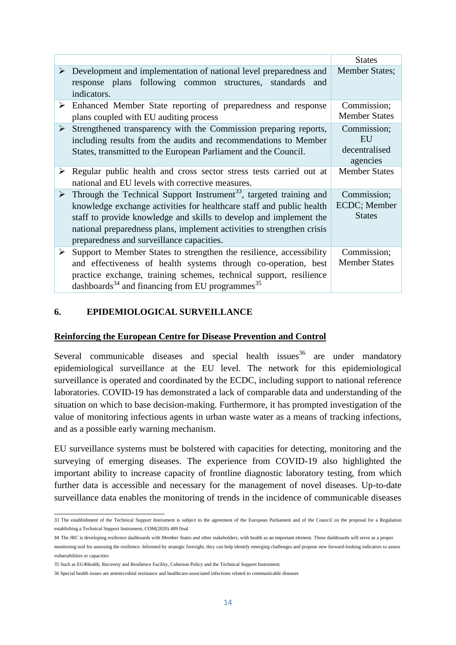|                       |                                                                                                                                                                                                                                                                                                                                                     | <b>States</b>                                  |
|-----------------------|-----------------------------------------------------------------------------------------------------------------------------------------------------------------------------------------------------------------------------------------------------------------------------------------------------------------------------------------------------|------------------------------------------------|
| ➤                     | Development and implementation of national level preparedness and<br>response plans following common structures, standards<br>and<br>indicators.                                                                                                                                                                                                    | <b>Member States;</b>                          |
| ➤                     | Enhanced Member State reporting of preparedness and response<br>plans coupled with EU auditing process                                                                                                                                                                                                                                              | Commission;<br><b>Member States</b>            |
| $\blacktriangleright$ | Strengthened transparency with the Commission preparing reports,<br>including results from the audits and recommendations to Member<br>States, transmitted to the European Parliament and the Council.                                                                                                                                              | Commission;<br>EU<br>decentralised<br>agencies |
| ➤                     | Regular public health and cross sector stress tests carried out at<br>national and EU levels with corrective measures.                                                                                                                                                                                                                              | <b>Member States</b>                           |
| ➤                     | Through the Technical Support Instrument <sup>33</sup> , targeted training and<br>knowledge exchange activities for healthcare staff and public health<br>staff to provide knowledge and skills to develop and implement the<br>national preparedness plans, implement activities to strengthen crisis<br>preparedness and surveillance capacities. | Commission;<br>ECDC; Member<br><b>States</b>   |
| ➤                     | Support to Member States to strengthen the resilience, accessibility<br>and effectiveness of health systems through co-operation, best<br>practice exchange, training schemes, technical support, resilience<br>dashboards <sup>34</sup> and financing from EU programmes <sup>35</sup>                                                             | Commission;<br><b>Member States</b>            |

#### **6. EPIDEMIOLOGICAL SURVEILLANCE**

#### **Reinforcing the European Centre for Disease Prevention and Control**

Several communicable diseases and special health issues  $36$  are under mandatory epidemiological surveillance at the EU level. The network for this epidemiological surveillance is operated and coordinated by the ECDC, including support to national reference laboratories. COVID-19 has demonstrated a lack of comparable data and understanding of the situation on which to base decision-making. Furthermore, it has prompted investigation of the value of monitoring infectious agents in urban waste water as a means of tracking infections, and as a possible early warning mechanism.

EU surveillance systems must be bolstered with capacities for detecting, monitoring and the surveying of emerging diseases. The experience from COVID-19 also highlighted the important ability to increase capacity of frontline diagnostic laboratory testing, from which further data is accessible and necessary for the management of novel diseases. Up-to-date surveillance data enables the monitoring of trends in the incidence of communicable diseases

 33 The establishment of the Technical Support Instrument is subject to the agreement of the European Parliament and of the Council on the proposal for a Regulation establishing a Technical Support Instrument, COM(2020) 409 final

<sup>34</sup> The JRC is developing resilience dashboards with Member States and other stakeholders, with health as an important element. These dashboards will serve as a proper monitoring tool for assessing the resilience. Informed by strategic foresight, they can help identify emerging challenges and propose new forward-looking indicators to assess vulnerabilities or capacities

<sup>35</sup> Such as EU4Health, Recovery and Resilience Facility, Cohesion Policy and the Technical Support Instrument.

<sup>36</sup> Special health issues are antimicrobial resistance and healthcare-associated infections related to communicable diseases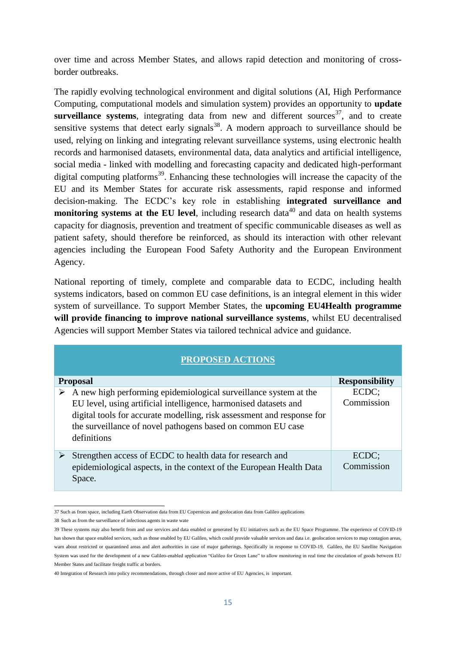over time and across Member States, and allows rapid detection and monitoring of crossborder outbreaks.

The rapidly evolving technological environment and digital solutions (AI, High Performance Computing, computational models and simulation system) provides an opportunity to **update surveillance systems**, integrating data from new and different sources<sup>37</sup>, and to create sensitive systems that detect early signals<sup>38</sup>. A modern approach to surveillance should be used, relying on linking and integrating relevant surveillance systems, using electronic health records and harmonised datasets, environmental data, data analytics and artificial intelligence, social media - linked with modelling and forecasting capacity and dedicated high-performant digital computing platforms<sup>39</sup>. Enhancing these technologies will increase the capacity of the EU and its Member States for accurate risk assessments, rapid response and informed decision-making. The ECDC's key role in establishing **integrated surveillance and monitoring systems at the EU level**, including research data<sup>40</sup> and data on health systems capacity for diagnosis, prevention and treatment of specific communicable diseases as well as patient safety, should therefore be reinforced, as should its interaction with other relevant agencies including the European Food Safety Authority and the European Environment Agency.

National reporting of timely, complete and comparable data to ECDC, including health systems indicators, based on common EU case definitions, is an integral element in this wider system of surveillance. To support Member States, the **upcoming EU4Health programme will provide financing to improve national surveillance systems**, whilst EU decentralised Agencies will support Member States via tailored technical advice and guidance.

|                 | PROPOSED ACTIONS                                                                                                                                                                                                                                                                             |                       |  |
|-----------------|----------------------------------------------------------------------------------------------------------------------------------------------------------------------------------------------------------------------------------------------------------------------------------------------|-----------------------|--|
| <b>Proposal</b> |                                                                                                                                                                                                                                                                                              | <b>Responsibility</b> |  |
| ➤               | A new high performing epidemiological surveillance system at the<br>EU level, using artificial intelligence, harmonised datasets and<br>digital tools for accurate modelling, risk assessment and response for<br>the surveillance of novel pathogens based on common EU case<br>definitions | ECDC;<br>Commission   |  |
| ➤               | Strengthen access of ECDC to health data for research and<br>epidemiological aspects, in the context of the European Health Data<br>Space.                                                                                                                                                   | ECDC;<br>Commission   |  |

 37 Such as from space, including Earth Observation data from EU Copernicus and geolocation data from Galileo applications

<sup>38</sup> Such as from the surveillance of infectious agents in waste wate

<sup>39</sup> These systems may also benefit from and use services and data enabled or generated by EU initiatives such as the EU Space Programme. The experience of COVID-19 has shown that space enabled services, such as those enabled by EU Galileo, which could provide valuable services and data i.e. geolocation services to map contagion areas, warn about restricted or quarantined areas and alert authorities in case of major gatherings. Specifically in response to COVID-19, Galileo, the EU Satellite Navigation System was used for the development of a new Galileo-enabled application "Galileo for Green Lane" to allow monitoring in real time the circulation of goods between EU Member States and facilitate freight traffic at borders.

<sup>40</sup> Integration of Research into policy recommendations, through closer and more active of EU Agencies, is important.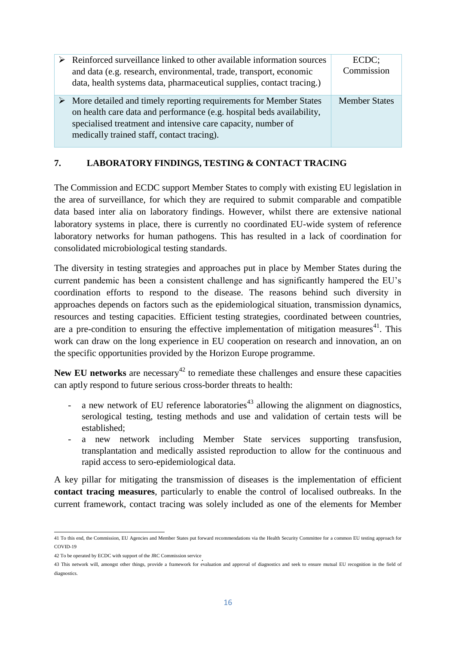|   | Reinforced surveillance linked to other available information sources<br>and data (e.g. research, environmental, trade, transport, economic<br>data, health systems data, pharmaceutical supplies, contact tracing.)                                     | ECDC;<br>Commission  |
|---|----------------------------------------------------------------------------------------------------------------------------------------------------------------------------------------------------------------------------------------------------------|----------------------|
| ➤ | More detailed and timely reporting requirements for Member States<br>on health care data and performance (e.g. hospital beds availability,<br>specialised treatment and intensive care capacity, number of<br>medically trained staff, contact tracing). | <b>Member States</b> |

### **7. LABORATORY FINDINGS, TESTING & CONTACT TRACING**

The Commission and ECDC support Member States to comply with existing EU legislation in the area of surveillance, for which they are required to submit comparable and compatible data based inter alia on laboratory findings. However, whilst there are extensive national laboratory systems in place, there is currently no coordinated EU-wide system of reference laboratory networks for human pathogens. This has resulted in a lack of coordination for consolidated microbiological testing standards.

The diversity in testing strategies and approaches put in place by Member States during the current pandemic has been a consistent challenge and has significantly hampered the EU's coordination efforts to respond to the disease. The reasons behind such diversity in approaches depends on factors such as the epidemiological situation, transmission dynamics, resources and testing capacities. Efficient testing strategies, coordinated between countries, are a pre-condition to ensuring the effective implementation of mitigation measures<sup>41</sup>. This work can draw on the long experience in EU cooperation on research and innovation, an on the specific opportunities provided by the Horizon Europe programme.

New EU networks are necessary<sup>42</sup> to remediate these challenges and ensure these capacities can aptly respond to future serious cross-border threats to health:

- a new network of EU reference laboratories<sup>43</sup> allowing the alignment on diagnostics, serological testing, testing methods and use and validation of certain tests will be established;
- a new network including Member State services supporting transfusion, transplantation and medically assisted reproduction to allow for the continuous and rapid access to sero-epidemiological data.

A key pillar for mitigating the transmission of diseases is the implementation of efficient **contact tracing measures**, particularly to enable the control of localised outbreaks. In the current framework, contact tracing was solely included as one of the elements for Member

 41 To this end, the Commission, EU Agencies and Member States put forward recommendations via the Health Security Committee for a common EU testing approach for COVID-19

<sup>42</sup> To be operated by ECDC with support of the JRC Commission service .

<sup>43</sup> This network will, amongst other things, provide a framework for evaluation and approval of diagnostics and seek to ensure mutual EU recognition in the field of diagnostics.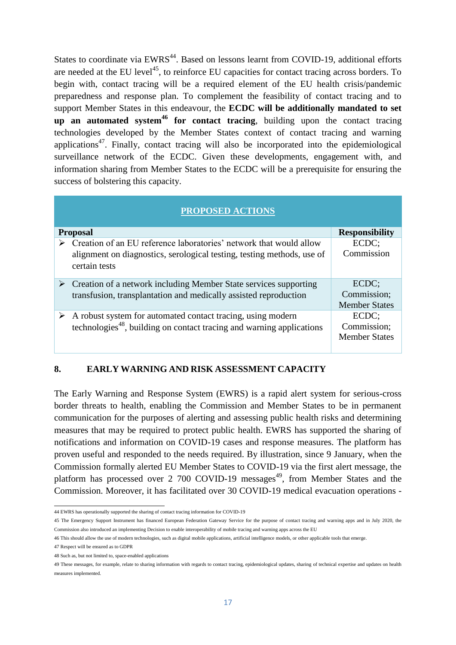States to coordinate via EWRS<sup>44</sup>. Based on lessons learnt from COVID-19, additional efforts are needed at the EU level<sup>45</sup>, to reinforce EU capacities for contact tracing across borders. To begin with, contact tracing will be a required element of the EU health crisis/pandemic preparedness and response plan. To complement the feasibility of contact tracing and to support Member States in this endeavour, the **ECDC will be additionally mandated to set up an automated system<sup>46</sup> for contact tracing**, building upon the contact tracing technologies developed by the Member States context of contact tracing and warning applications<sup>47</sup>. Finally, contact tracing will also be incorporated into the epidemiological surveillance network of the ECDC. Given these developments, engagement with, and information sharing from Member States to the ECDC will be a prerequisite for ensuring the success of bolstering this capacity.

| <b>PROPOSED ACTIONS</b>                                                                                                                                            |                                              |  |
|--------------------------------------------------------------------------------------------------------------------------------------------------------------------|----------------------------------------------|--|
| <b>Proposal</b>                                                                                                                                                    | <b>Responsibility</b>                        |  |
| Creation of an EU reference laboratories' network that would allow<br>⋗<br>alignment on diagnostics, serological testing, testing methods, use of<br>certain tests | ECDC:<br>Commission                          |  |
| Creation of a network including Member State services supporting<br>➤<br>transfusion, transplantation and medically assisted reproduction                          | ECDC:<br>Commission;<br><b>Member States</b> |  |
| A robust system for automated contact tracing, using modern<br>➤<br>technologies <sup>48</sup> , building on contact tracing and warning applications              | ECDC:<br>Commission;<br><b>Member States</b> |  |

#### **8. EARLY WARNING AND RISK ASSESSMENT CAPACITY**

The Early Warning and Response System (EWRS) is a rapid alert system for serious-cross border threats to health, enabling the Commission and Member States to be in permanent communication for the purposes of alerting and assessing public health risks and determining measures that may be required to protect public health. EWRS has supported the sharing of notifications and information on COVID-19 cases and response measures. The platform has proven useful and responded to the needs required. By illustration, since 9 January, when the Commission formally alerted EU Member States to COVID-19 via the first alert message, the platform has processed over 2 700 COVID-19 messages<sup>49</sup>, from Member States and the Commission. Moreover, it has facilitated over 30 COVID-19 medical evacuation operations -

 44 EWRS has operationally supported the sharing of contact tracing information for COVID-19

<sup>45</sup> The Emergency Support Instrument has financed European Federation Gateway Service for the purpose of contact tracing and warning apps and in July 2020, the Commission also introduced an implementing Decision to enable interoperability of mobile tracing and warning apps across the EU

<sup>46</sup> This should allow the use of modern technologies, such as digital mobile applications, artificial intelligence models, or other applicable tools that emerge.

<sup>47</sup> Respect will be ensured as to GDPR

<sup>48</sup> Such as, but not limited to, space-enabled applications

<sup>49</sup> These messages, for example, relate to sharing information with regards to contact tracing, epidemiological updates, sharing of technical expertise and updates on health measures implemented.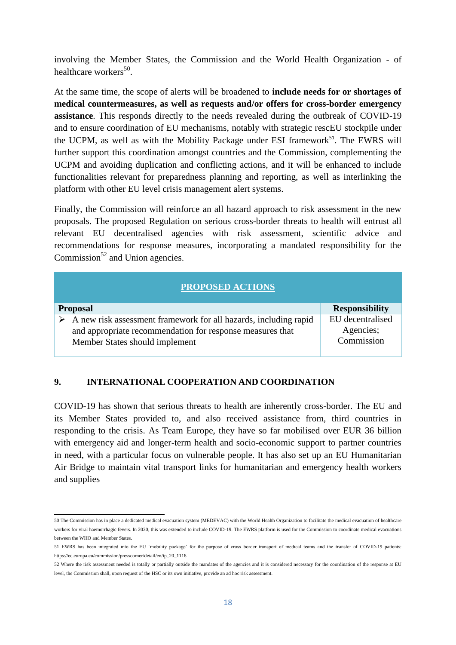involving the Member States, the Commission and the World Health Organization - of healthcare workers<sup>50</sup>.

At the same time, the scope of alerts will be broadened to **include needs for or shortages of medical countermeasures, as well as requests and/or offers for cross-border emergency assistance**. This responds directly to the needs revealed during the outbreak of COVID-19 and to ensure coordination of EU mechanisms, notably with strategic rescEU stockpile under the UCPM, as well as with the Mobility Package under ESI framework<sup>51</sup>. The EWRS will further support this coordination amongst countries and the Commission, complementing the UCPM and avoiding duplication and conflicting actions, and it will be enhanced to include functionalities relevant for preparedness planning and reporting, as well as interlinking the platform with other EU level crisis management alert systems.

Finally, the Commission will reinforce an all hazard approach to risk assessment in the new proposals. The proposed Regulation on serious cross-border threats to health will entrust all relevant EU decentralised agencies with risk assessment, scientific advice and recommendations for response measures, incorporating a mandated responsibility for the Commission<sup>52</sup> and Union agencies.

## **PROPOSED ACTIONS**

| <b>Proposal</b> |                                                                                   | <b>Responsibility</b> |
|-----------------|-----------------------------------------------------------------------------------|-----------------------|
|                 | $\triangleright$ A new risk assessment framework for all hazards, including rapid | EU decentralised      |
|                 | and appropriate recommendation for response measures that                         | Agencies;             |
|                 | Member States should implement                                                    | Commission            |
|                 |                                                                                   |                       |

#### **9. INTERNATIONAL COOPERATION AND COORDINATION**

COVID-19 has shown that serious threats to health are inherently cross-border. The EU and its Member States provided to, and also received assistance from, third countries in responding to the crisis. As Team Europe, they have so far mobilised over EUR 36 billion with emergency aid and longer-term health and socio-economic support to partner countries in need, with a particular focus on vulnerable people. It has also set up an EU Humanitarian Air Bridge to maintain vital transport links for humanitarian and emergency health workers and supplies

 50 The Commission has in place a dedicated medical evacuation system (MEDEVAC) with the World Health Organization to facilitate the medical evacuation of healthcare workers for viral haemorrhagic fevers. In 2020, this was extended to include COVID-19. The EWRS platform is used for the Commission to coordinate medical evacuations between the WHO and Member States.

<sup>51</sup> EWRS has been integrated into the EU 'mobility package' for the purpose of cross border transport of medical teams and the transfer of COVID-19 patients: https://ec.europa.eu/commission/presscorner/detail/en/ip\_20\_1118

<sup>52</sup> Where the risk assessment needed is totally or partially outside the mandates of the agencies and it is considered necessary for the coordination of the response at EU level, the Commission shall, upon request of the HSC or its own initiative, provide an ad hoc risk assessment.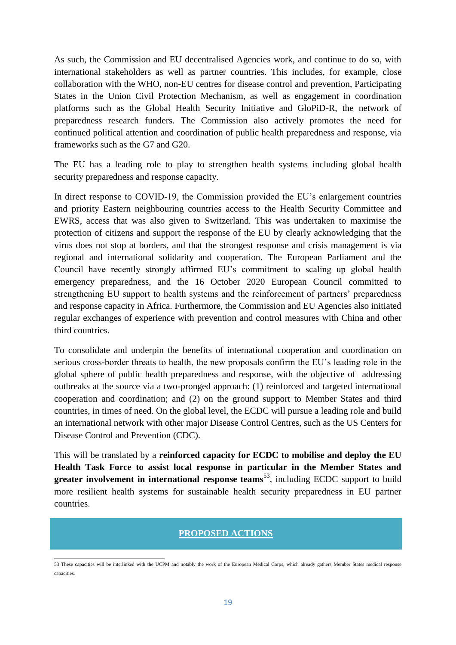As such, the Commission and EU decentralised Agencies work, and continue to do so, with international stakeholders as well as partner countries. This includes, for example, close collaboration with the WHO, non-EU centres for disease control and prevention, Participating States in the Union Civil Protection Mechanism, as well as engagement in coordination platforms such as the Global Health Security Initiative and GloPiD-R, the network of preparedness research funders. The Commission also actively promotes the need for continued political attention and coordination of public health preparedness and response, via frameworks such as the G7 and G20.

The EU has a leading role to play to strengthen health systems including global health security preparedness and response capacity.

In direct response to COVID-19, the Commission provided the EU's enlargement countries and priority Eastern neighbouring countries access to the Health Security Committee and EWRS, access that was also given to Switzerland. This was undertaken to maximise the protection of citizens and support the response of the EU by clearly acknowledging that the virus does not stop at borders, and that the strongest response and crisis management is via regional and international solidarity and cooperation. The European Parliament and the Council have recently strongly affirmed EU's commitment to scaling up global health emergency preparedness, and the 16 October 2020 European Council committed to strengthening EU support to health systems and the reinforcement of partners' preparedness and response capacity in Africa. Furthermore, the Commission and EU Agencies also initiated regular exchanges of experience with prevention and control measures with China and other third countries.

To consolidate and underpin the benefits of international cooperation and coordination on serious cross-border threats to health, the new proposals confirm the EU's leading role in the global sphere of public health preparedness and response, with the objective of addressing outbreaks at the source via a two-pronged approach: (1) reinforced and targeted international cooperation and coordination; and (2) on the ground support to Member States and third countries, in times of need. On the global level, the ECDC will pursue a leading role and build an international network with other major Disease Control Centres, such as the US Centers for Disease Control and Prevention (CDC).

This will be translated by a **reinforced capacity for ECDC to mobilise and deploy the EU Health Task Force to assist local response in particular in the Member States and greater involvement in international response teams**<sup>53</sup>, including ECDC support to build more resilient health systems for sustainable health security preparedness in EU partner countries.

# **PROPOSED ACTIONS**

 53 These capacities will be interlinked with the UCPM and notably the work of the European Medical Corps, which already gathers Member States medical response capacities.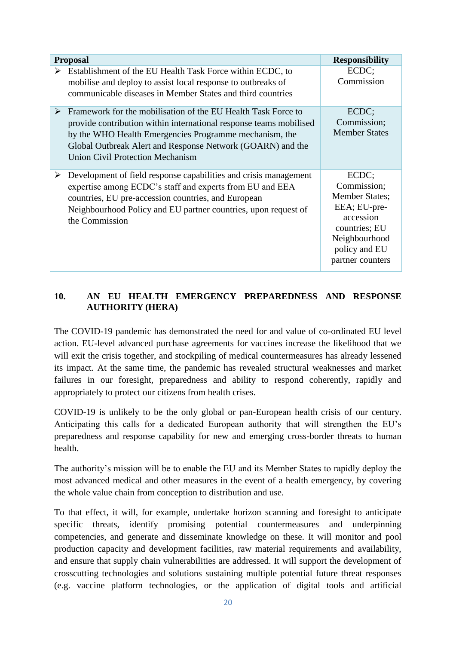| <b>Proposal</b> |                                                                                                                                                                                                                                                                                                        | <b>Responsibility</b>                                                                                                                             |
|-----------------|--------------------------------------------------------------------------------------------------------------------------------------------------------------------------------------------------------------------------------------------------------------------------------------------------------|---------------------------------------------------------------------------------------------------------------------------------------------------|
|                 | Establishment of the EU Health Task Force within ECDC, to<br>mobilise and deploy to assist local response to outbreaks of<br>communicable diseases in Member States and third countries                                                                                                                | ECDC;<br>Commission                                                                                                                               |
| ➤               | Framework for the mobilisation of the EU Health Task Force to<br>provide contribution within international response teams mobilised<br>by the WHO Health Emergencies Programme mechanism, the<br>Global Outbreak Alert and Response Network (GOARN) and the<br><b>Union Civil Protection Mechanism</b> | ECDC;<br>Commission;<br><b>Member States</b>                                                                                                      |
| ➤               | Development of field response capabilities and crisis management<br>expertise among ECDC's staff and experts from EU and EEA<br>countries, EU pre-accession countries, and European<br>Neighbourhood Policy and EU partner countries, upon request of<br>the Commission                                | ECDC;<br>Commission;<br><b>Member States;</b><br>EEA; EU-pre-<br>accession<br>countries; EU<br>Neighbourhood<br>policy and EU<br>partner counters |

## **10. AN EU HEALTH EMERGENCY PREPAREDNESS AND RESPONSE AUTHORITY (HERA)**

The COVID-19 pandemic has demonstrated the need for and value of co-ordinated EU level action. EU-level advanced purchase agreements for vaccines increase the likelihood that we will exit the crisis together, and stockpiling of medical countermeasures has already lessened its impact. At the same time, the pandemic has revealed structural weaknesses and market failures in our foresight, preparedness and ability to respond coherently, rapidly and appropriately to protect our citizens from health crises.

COVID-19 is unlikely to be the only global or pan-European health crisis of our century. Anticipating this calls for a dedicated European authority that will strengthen the EU's preparedness and response capability for new and emerging cross-border threats to human health.

The authority's mission will be to enable the EU and its Member States to rapidly deploy the most advanced medical and other measures in the event of a health emergency, by covering the whole value chain from conception to distribution and use.

To that effect, it will, for example, undertake horizon scanning and foresight to anticipate specific threats, identify promising potential countermeasures and underpinning competencies, and generate and disseminate knowledge on these. It will monitor and pool production capacity and development facilities, raw material requirements and availability, and ensure that supply chain vulnerabilities are addressed. It will support the development of crosscutting technologies and solutions sustaining multiple potential future threat responses (e.g. vaccine platform technologies, or the application of digital tools and artificial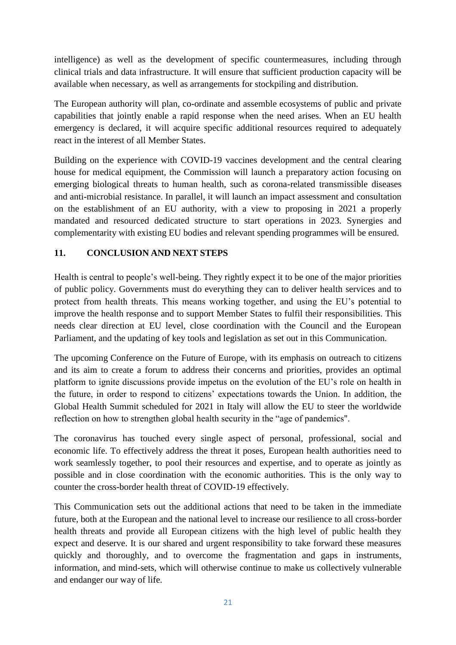intelligence) as well as the development of specific countermeasures, including through clinical trials and data infrastructure. It will ensure that sufficient production capacity will be available when necessary, as well as arrangements for stockpiling and distribution.

The European authority will plan, co-ordinate and assemble ecosystems of public and private capabilities that jointly enable a rapid response when the need arises. When an EU health emergency is declared, it will acquire specific additional resources required to adequately react in the interest of all Member States.

Building on the experience with COVID-19 vaccines development and the central clearing house for medical equipment, the Commission will launch a preparatory action focusing on emerging biological threats to human health, such as corona-related transmissible diseases and anti-microbial resistance. In parallel, it will launch an impact assessment and consultation on the establishment of an EU authority, with a view to proposing in 2021 a properly mandated and resourced dedicated structure to start operations in 2023. Synergies and complementarity with existing EU bodies and relevant spending programmes will be ensured.

# **11. CONCLUSION AND NEXT STEPS**

Health is central to people's well-being. They rightly expect it to be one of the major priorities of public policy. Governments must do everything they can to deliver health services and to protect from health threats. This means working together, and using the EU's potential to improve the health response and to support Member States to fulfil their responsibilities. This needs clear direction at EU level, close coordination with the Council and the European Parliament, and the updating of key tools and legislation as set out in this Communication.

The upcoming Conference on the Future of Europe, with its emphasis on outreach to citizens and its aim to create a forum to address their concerns and priorities, provides an optimal platform to ignite discussions provide impetus on the evolution of the EU's role on health in the future, in order to respond to citizens' expectations towards the Union. In addition, the Global Health Summit scheduled for 2021 in Italy will allow the EU to steer the worldwide reflection on how to strengthen global health security in the "age of pandemics".

The coronavirus has touched every single aspect of personal, professional, social and economic life. To effectively address the threat it poses, European health authorities need to work seamlessly together, to pool their resources and expertise, and to operate as jointly as possible and in close coordination with the economic authorities. This is the only way to counter the cross-border health threat of COVID-19 effectively.

This Communication sets out the additional actions that need to be taken in the immediate future, both at the European and the national level to increase our resilience to all cross-border health threats and provide all European citizens with the high level of public health they expect and deserve. It is our shared and urgent responsibility to take forward these measures quickly and thoroughly, and to overcome the fragmentation and gaps in instruments, information, and mind-sets, which will otherwise continue to make us collectively vulnerable and endanger our way of life.